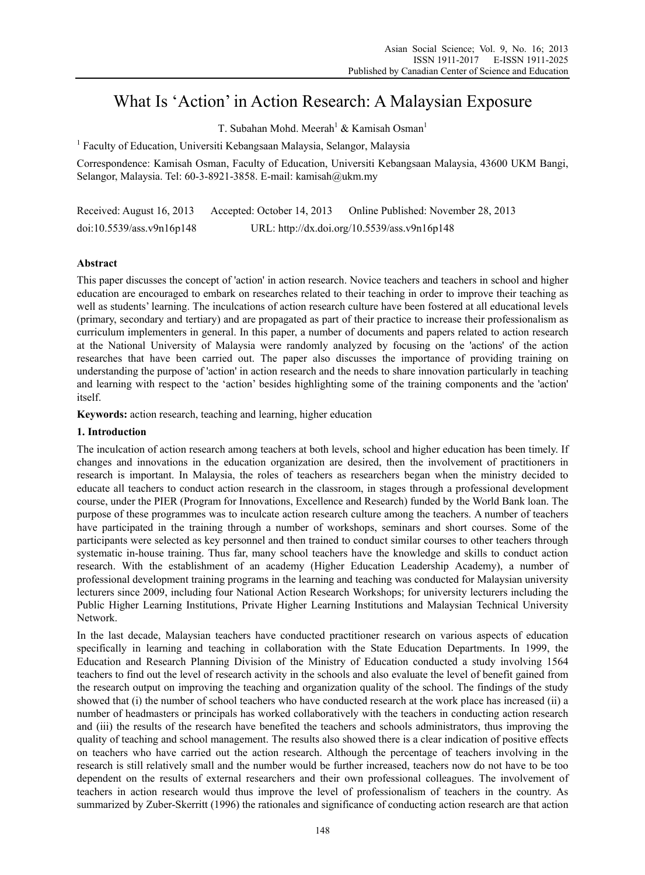# What Is 'Action' in Action Research: A Malaysian Exposure

T. Subahan Mohd. Meerah<sup>1</sup> & Kamisah Osman<sup>1</sup>

<sup>1</sup> Faculty of Education, Universiti Kebangsaan Malaysia, Selangor, Malaysia

Correspondence: Kamisah Osman, Faculty of Education, Universiti Kebangsaan Malaysia, 43600 UKM Bangi, Selangor, Malaysia. Tel: 60-3-8921-3858. E-mail: kamisah@ukm.my

Received: August 16, 2013 Accepted: October 14, 2013 Online Published: November 28, 2013 doi:10.5539/ass.v9n16p148 URL: http://dx.doi.org/10.5539/ass.v9n16p148

# **Abstract**

This paper discusses the concept of 'action' in action research. Novice teachers and teachers in school and higher education are encouraged to embark on researches related to their teaching in order to improve their teaching as well as students' learning. The inculcations of action research culture have been fostered at all educational levels (primary, secondary and tertiary) and are propagated as part of their practice to increase their professionalism as curriculum implementers in general. In this paper, a number of documents and papers related to action research at the National University of Malaysia were randomly analyzed by focusing on the 'actions' of the action researches that have been carried out. The paper also discusses the importance of providing training on understanding the purpose of 'action' in action research and the needs to share innovation particularly in teaching and learning with respect to the 'action' besides highlighting some of the training components and the 'action' itself.

**Keywords:** action research, teaching and learning, higher education

## **1. Introduction**

The inculcation of action research among teachers at both levels, school and higher education has been timely. If changes and innovations in the education organization are desired, then the involvement of practitioners in research is important. In Malaysia, the roles of teachers as researchers began when the ministry decided to educate all teachers to conduct action research in the classroom, in stages through a professional development course, under the PIER (Program for Innovations, Excellence and Research) funded by the World Bank loan. The purpose of these programmes was to inculcate action research culture among the teachers. A number of teachers have participated in the training through a number of workshops, seminars and short courses. Some of the participants were selected as key personnel and then trained to conduct similar courses to other teachers through systematic in-house training. Thus far, many school teachers have the knowledge and skills to conduct action research. With the establishment of an academy (Higher Education Leadership Academy), a number of professional development training programs in the learning and teaching was conducted for Malaysian university lecturers since 2009, including four National Action Research Workshops; for university lecturers including the Public Higher Learning Institutions, Private Higher Learning Institutions and Malaysian Technical University Network.

In the last decade, Malaysian teachers have conducted practitioner research on various aspects of education specifically in learning and teaching in collaboration with the State Education Departments. In 1999, the Education and Research Planning Division of the Ministry of Education conducted a study involving 1564 teachers to find out the level of research activity in the schools and also evaluate the level of benefit gained from the research output on improving the teaching and organization quality of the school. The findings of the study showed that (i) the number of school teachers who have conducted research at the work place has increased (ii) a number of headmasters or principals has worked collaboratively with the teachers in conducting action research and (iii) the results of the research have benefited the teachers and schools administrators, thus improving the quality of teaching and school management. The results also showed there is a clear indication of positive effects on teachers who have carried out the action research. Although the percentage of teachers involving in the research is still relatively small and the number would be further increased, teachers now do not have to be too dependent on the results of external researchers and their own professional colleagues. The involvement of teachers in action research would thus improve the level of professionalism of teachers in the country. As summarized by Zuber-Skerritt (1996) the rationales and significance of conducting action research are that action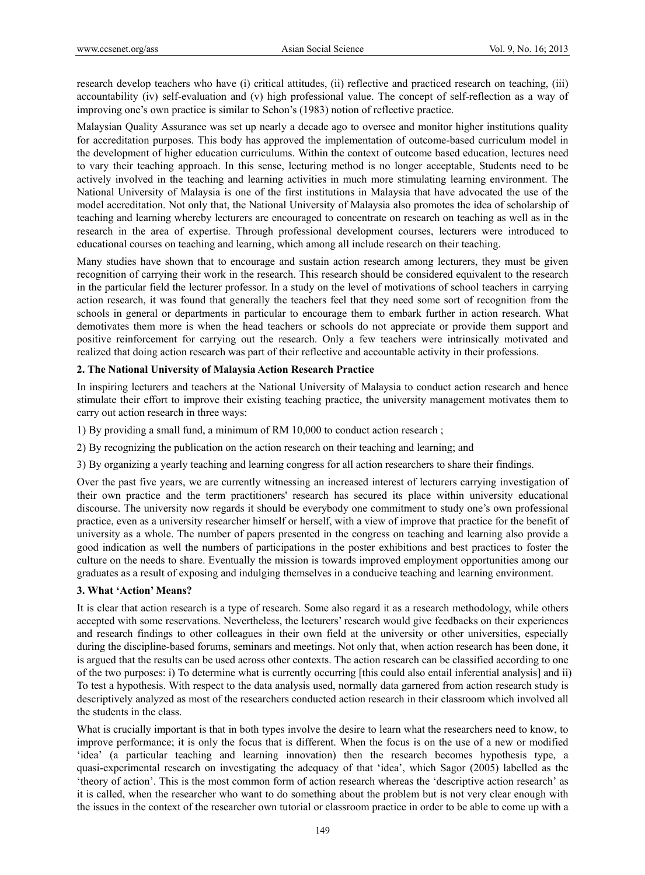research develop teachers who have (i) critical attitudes, (ii) reflective and practiced research on teaching, (iii) accountability (iv) self-evaluation and (v) high professional value. The concept of self-reflection as a way of improving one's own practice is similar to Schon's (1983) notion of reflective practice.

Malaysian Quality Assurance was set up nearly a decade ago to oversee and monitor higher institutions quality for accreditation purposes. This body has approved the implementation of outcome-based curriculum model in the development of higher education curriculums. Within the context of outcome based education, lectures need to vary their teaching approach. In this sense, lecturing method is no longer acceptable, Students need to be actively involved in the teaching and learning activities in much more stimulating learning environment. The National University of Malaysia is one of the first institutions in Malaysia that have advocated the use of the model accreditation. Not only that, the National University of Malaysia also promotes the idea of scholarship of teaching and learning whereby lecturers are encouraged to concentrate on research on teaching as well as in the research in the area of expertise. Through professional development courses, lecturers were introduced to educational courses on teaching and learning, which among all include research on their teaching.

Many studies have shown that to encourage and sustain action research among lecturers, they must be given recognition of carrying their work in the research. This research should be considered equivalent to the research in the particular field the lecturer professor. In a study on the level of motivations of school teachers in carrying action research, it was found that generally the teachers feel that they need some sort of recognition from the schools in general or departments in particular to encourage them to embark further in action research. What demotivates them more is when the head teachers or schools do not appreciate or provide them support and positive reinforcement for carrying out the research. Only a few teachers were intrinsically motivated and realized that doing action research was part of their reflective and accountable activity in their professions.

# **2. The National University of Malaysia Action Research Practice**

In inspiring lecturers and teachers at the National University of Malaysia to conduct action research and hence stimulate their effort to improve their existing teaching practice, the university management motivates them to carry out action research in three ways:

- 1) By providing a small fund, a minimum of RM 10,000 to conduct action research ;
- 2) By recognizing the publication on the action research on their teaching and learning; and

3) By organizing a yearly teaching and learning congress for all action researchers to share their findings.

Over the past five years, we are currently witnessing an increased interest of lecturers carrying investigation of their own practice and the term practitioners' research has secured its place within university educational discourse. The university now regards it should be everybody one commitment to study one's own professional practice, even as a university researcher himself or herself, with a view of improve that practice for the benefit of university as a whole. The number of papers presented in the congress on teaching and learning also provide a good indication as well the numbers of participations in the poster exhibitions and best practices to foster the culture on the needs to share. Eventually the mission is towards improved employment opportunities among our graduates as a result of exposing and indulging themselves in a conducive teaching and learning environment.

### **3. What 'Action' Means?**

It is clear that action research is a type of research. Some also regard it as a research methodology, while others accepted with some reservations. Nevertheless, the lecturers' research would give feedbacks on their experiences and research findings to other colleagues in their own field at the university or other universities, especially during the discipline-based forums, seminars and meetings. Not only that, when action research has been done, it is argued that the results can be used across other contexts. The action research can be classified according to one of the two purposes: i) To determine what is currently occurring [this could also entail inferential analysis] and ii) To test a hypothesis. With respect to the data analysis used, normally data garnered from action research study is descriptively analyzed as most of the researchers conducted action research in their classroom which involved all the students in the class.

What is crucially important is that in both types involve the desire to learn what the researchers need to know, to improve performance; it is only the focus that is different. When the focus is on the use of a new or modified 'idea' (a particular teaching and learning innovation) then the research becomes hypothesis type, a quasi-experimental research on investigating the adequacy of that 'idea', which Sagor (2005) labelled as the 'theory of action'. This is the most common form of action research whereas the 'descriptive action research' as it is called, when the researcher who want to do something about the problem but is not very clear enough with the issues in the context of the researcher own tutorial or classroom practice in order to be able to come up with a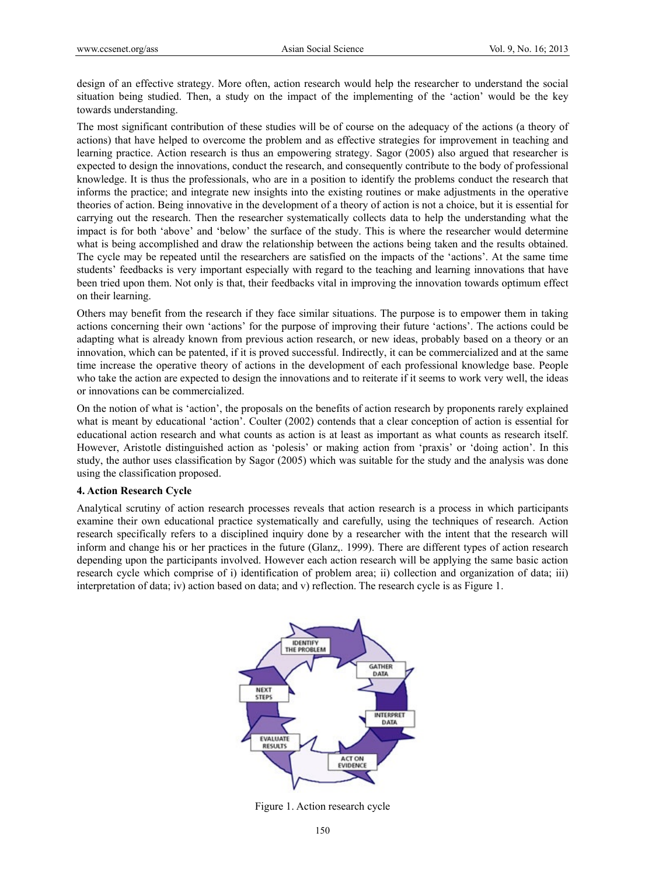design of an effective strategy. More often, action research would help the researcher to understand the social situation being studied. Then, a study on the impact of the implementing of the 'action' would be the key towards understanding.

The most significant contribution of these studies will be of course on the adequacy of the actions (a theory of actions) that have helped to overcome the problem and as effective strategies for improvement in teaching and learning practice. Action research is thus an empowering strategy. Sagor (2005) also argued that researcher is expected to design the innovations, conduct the research, and consequently contribute to the body of professional knowledge. It is thus the professionals, who are in a position to identify the problems conduct the research that informs the practice; and integrate new insights into the existing routines or make adjustments in the operative theories of action. Being innovative in the development of a theory of action is not a choice, but it is essential for carrying out the research. Then the researcher systematically collects data to help the understanding what the impact is for both 'above' and 'below' the surface of the study. This is where the researcher would determine what is being accomplished and draw the relationship between the actions being taken and the results obtained. The cycle may be repeated until the researchers are satisfied on the impacts of the 'actions'. At the same time students' feedbacks is very important especially with regard to the teaching and learning innovations that have been tried upon them. Not only is that, their feedbacks vital in improving the innovation towards optimum effect on their learning.

Others may benefit from the research if they face similar situations. The purpose is to empower them in taking actions concerning their own 'actions' for the purpose of improving their future 'actions'. The actions could be adapting what is already known from previous action research, or new ideas, probably based on a theory or an innovation, which can be patented, if it is proved successful. Indirectly, it can be commercialized and at the same time increase the operative theory of actions in the development of each professional knowledge base. People who take the action are expected to design the innovations and to reiterate if it seems to work very well, the ideas or innovations can be commercialized.

On the notion of what is 'action', the proposals on the benefits of action research by proponents rarely explained what is meant by educational 'action'. Coulter (2002) contends that a clear conception of action is essential for educational action research and what counts as action is at least as important as what counts as research itself. However, Aristotle distinguished action as 'polesis' or making action from 'praxis' or 'doing action'. In this study, the author uses classification by Sagor (2005) which was suitable for the study and the analysis was done using the classification proposed.

#### **4. Action Research Cycle**

Analytical scrutiny of action research processes reveals that action research is a process in which participants examine their own educational practice systematically and carefully, using the techniques of research. Action research specifically refers to a disciplined inquiry done by a researcher with the intent that the research will inform and change his or her practices in the future (Glanz,. 1999). There are different types of action research depending upon the participants involved. However each action research will be applying the same basic action research cycle which comprise of i) identification of problem area; ii) collection and organization of data; iii) interpretation of data; iv) action based on data; and v) reflection. The research cycle is as Figure 1.



Figure 1. Action research cycle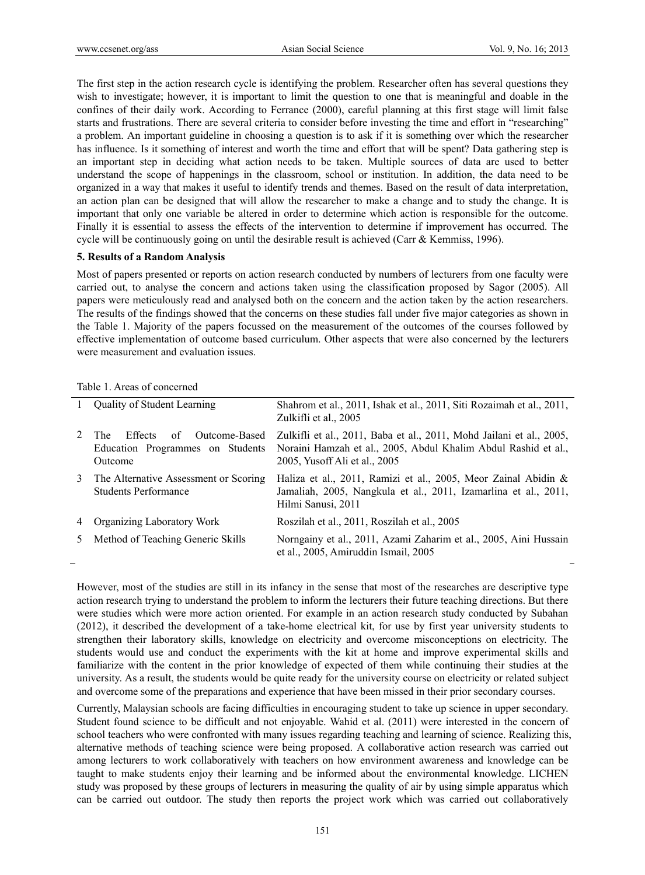The first step in the action research cycle is identifying the problem. Researcher often has several questions they wish to investigate; however, it is important to limit the question to one that is meaningful and doable in the confines of their daily work. According to Ferrance (2000), careful planning at this first stage will limit false starts and frustrations. There are several criteria to consider before investing the time and effort in "researching" a problem. An important guideline in choosing a question is to ask if it is something over which the researcher has influence. Is it something of interest and worth the time and effort that will be spent? Data gathering step is an important step in deciding what action needs to be taken. Multiple sources of data are used to better understand the scope of happenings in the classroom, school or institution. In addition, the data need to be organized in a way that makes it useful to identify trends and themes. Based on the result of data interpretation, an action plan can be designed that will allow the researcher to make a change and to study the change. It is important that only one variable be altered in order to determine which action is responsible for the outcome. Finally it is essential to assess the effects of the intervention to determine if improvement has occurred. The cycle will be continuously going on until the desirable result is achieved (Carr & Kemmiss, 1996).

#### **5. Results of a Random Analysis**

Most of papers presented or reports on action research conducted by numbers of lecturers from one faculty were carried out, to analyse the concern and actions taken using the classification proposed by Sagor (2005). All papers were meticulously read and analysed both on the concern and the action taken by the action researchers. The results of the findings showed that the concerns on these studies fall under five major categories as shown in the Table 1. Majority of the papers focussed on the measurement of the outcomes of the courses followed by effective implementation of outcome based curriculum. Other aspects that were also concerned by the lecturers were measurement and evaluation issues.

#### Table 1. Areas of concerned

|   | Quality of Student Learning                                                          | Shahrom et al., 2011, Ishak et al., 2011, Siti Rozaimah et al., 2011,<br>Zulkifli et al., 2005                                                                          |
|---|--------------------------------------------------------------------------------------|-------------------------------------------------------------------------------------------------------------------------------------------------------------------------|
| 2 | Outcome-Based<br>Effects<br>of<br>The<br>Education Programmes on Students<br>Outcome | Zulkifli et al., 2011, Baba et al., 2011, Mohd Jailani et al., 2005,<br>Noraini Hamzah et al., 2005, Abdul Khalim Abdul Rashid et al.,<br>2005, Yusoff Ali et al., 2005 |
| 3 | The Alternative Assessment or Scoring<br><b>Students Performance</b>                 | Haliza et al., 2011, Ramizi et al., 2005, Meor Zainal Abidin &<br>Jamaliah, 2005, Nangkula et al., 2011, Izamarlina et al., 2011,<br>Hilmi Sanusi, 2011                 |
| 4 | <b>Organizing Laboratory Work</b>                                                    | Roszilah et al., 2011, Roszilah et al., 2005                                                                                                                            |
| 5 | Method of Teaching Generic Skills                                                    | Norngainy et al., 2011, Azami Zaharim et al., 2005, Aini Hussain<br>et al., 2005, Amiruddin Ismail, 2005                                                                |

However, most of the studies are still in its infancy in the sense that most of the researches are descriptive type action research trying to understand the problem to inform the lecturers their future teaching directions. But there were studies which were more action oriented. For example in an action research study conducted by Subahan (2012), it described the development of a take-home electrical kit, for use by first year university students to strengthen their laboratory skills, knowledge on electricity and overcome misconceptions on electricity. The students would use and conduct the experiments with the kit at home and improve experimental skills and familiarize with the content in the prior knowledge of expected of them while continuing their studies at the university. As a result, the students would be quite ready for the university course on electricity or related subject and overcome some of the preparations and experience that have been missed in their prior secondary courses.

Currently, Malaysian schools are facing difficulties in encouraging student to take up science in upper secondary. Student found science to be difficult and not enjoyable. Wahid et al. (2011) were interested in the concern of school teachers who were confronted with many issues regarding teaching and learning of science. Realizing this, alternative methods of teaching science were being proposed. A collaborative action research was carried out among lecturers to work collaboratively with teachers on how environment awareness and knowledge can be taught to make students enjoy their learning and be informed about the environmental knowledge. LICHEN study was proposed by these groups of lecturers in measuring the quality of air by using simple apparatus which can be carried out outdoor. The study then reports the project work which was carried out collaboratively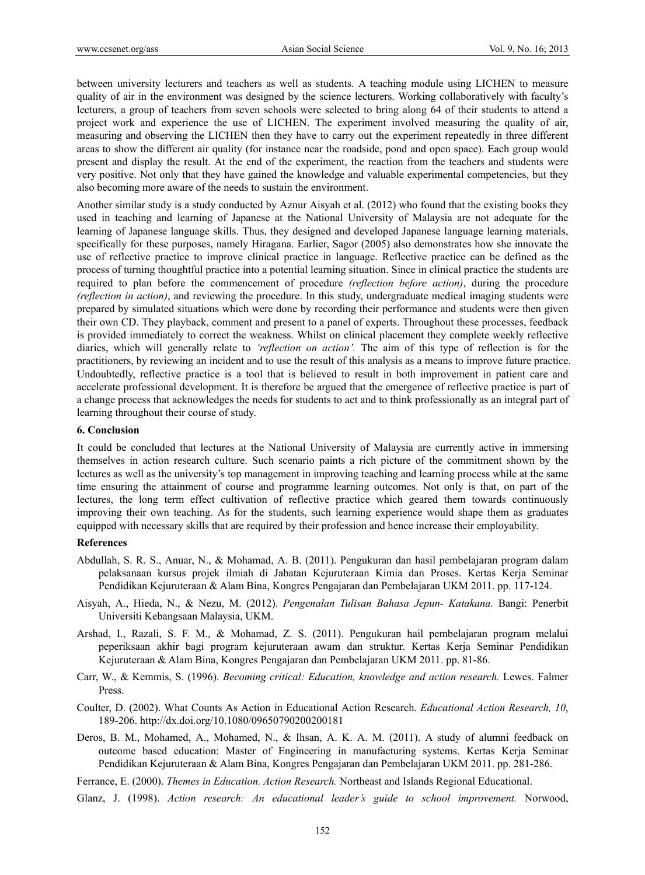between university lecturers and teachers as well as students. A teaching module using LICHEN to measure quality of air in the environment was designed by the science lecturers. Working collaboratively with faculty's lecturers, a group of teachers from seven schools were selected to bring along 64 of their students to attend a project work and experience the use of LICHEN. The experiment involved measuring the quality of air, measuring and observing the LICHEN then they have to carry out the experiment repeatedly in three different areas to show the different air quality (for instance near the roadside, pond and open space). Each group would present and display the result. At the end of the experiment, the reaction from the teachers and students were very positive. Not only that they have gained the knowledge and valuable experimental competencies, but they also becoming more aware of the needs to sustain the environment.

Another similar study is a study conducted by Aznur Aisyah et al. (2012) who found that the existing books they used in teaching and learning of Japanese at the National University of Malaysia are not adequate for the learning of Japanese language skills. Thus, they designed and developed Japanese language learning materials, specifically for these purposes, namely Hiragana. Earlier, Sagor (2005) also demonstrates how she innovate the use of reflective practice to improve clinical practice in language. Reflective practice can be defined as the process of turning thoughtful practice into a potential learning situation. Since in clinical practice the students are required to plan before the commencement of procedure *(reflection before action)*, during the procedure *(reflection in action)*, and reviewing the procedure. In this study, undergraduate medical imaging students were prepared by simulated situations which were done by recording their performance and students were then given their own CD. They playback, comment and present to a panel of experts. Throughout these processes, feedback is provided immediately to correct the weakness. Whilst on clinical placement they complete weekly reflective diaries, which will generally relate to *'reflection on action'.* The aim of this type of reflection is for the practitioners, by reviewing an incident and to use the result of this analysis as a means to improve future practice. Undoubtedly, reflective practice is a tool that is believed to result in both improvement in patient care and accelerate professional development. It is therefore be argued that the emergence of reflective practice is part of a change process that acknowledges the needs for students to act and to think professionally as an integral part of learning throughout their course of study.

## **6. Conclusion**

It could be concluded that lectures at the National University of Malaysia are currently active in immersing themselves in action research culture. Such scenario paints a rich picture of the commitment shown by the lectures as well as the university's top management in improving teaching and learning process while at the same time ensuring the attainment of course and programme learning outcomes. Not only is that, on part of the lectures, the long term effect cultivation of reflective practice which geared them towards continuously improving their own teaching. As for the students, such learning experience would shape them as graduates equipped with necessary skills that are required by their profession and hence increase their employability.

## **References**

- Abdullah, S. R. S., Anuar, N., & Mohamad, A. B. (2011). Pengukuran dan hasil pembelajaran program dalam pelaksanaan kursus projek ilmiah di Jabatan Kejuruteraan Kimia dan Proses. Kertas Kerja Seminar Pendidikan Kejuruteraan & Alam Bina, Kongres Pengajaran dan Pembelajaran UKM 2011. pp. 117-124.
- Aisyah, A., Hieda, N., & Nezu, M. (2012). *Pengenalan Tulisan Bahasa Jepun- Katakana.* Bangi: Penerbit Universiti Kebangsaan Malaysia, UKM.
- Arshad, I., Razali, S. F. M., & Mohamad, Z. S. (2011). Pengukuran hail pembelajaran program melalui peperiksaan akhir bagi program kejuruteraan awam dan struktur. Kertas Kerja Seminar Pendidikan Kejuruteraan & Alam Bina, Kongres Pengajaran dan Pembelajaran UKM 2011. pp. 81-86.
- Carr, W., & Kemmis, S. (1996). *Becoming critical: Education, knowledge and action research.* Lewes. Falmer Press.
- Coulter, D. (2002). What Counts As Action in Educational Action Research. *Educational Action Research, 10*, 189-206. http://dx.doi.org/10.1080/09650790200200181
- Deros, B. M., Mohamed, A., Mohamed, N., & Ihsan, A. K. A. M. (2011). A study of alumni feedback on outcome based education: Master of Engineering in manufacturing systems. Kertas Kerja Seminar Pendidikan Kejuruteraan & Alam Bina, Kongres Pengajaran dan Pembelajaran UKM 2011. pp. 281-286.
- Ferrance, E. (2000). *Themes in Education. Action Research.* Northeast and Islands Regional Educational.
- Glanz, J. (1998). *Action research: An educational leader's guide to school improvement.* Norwood,